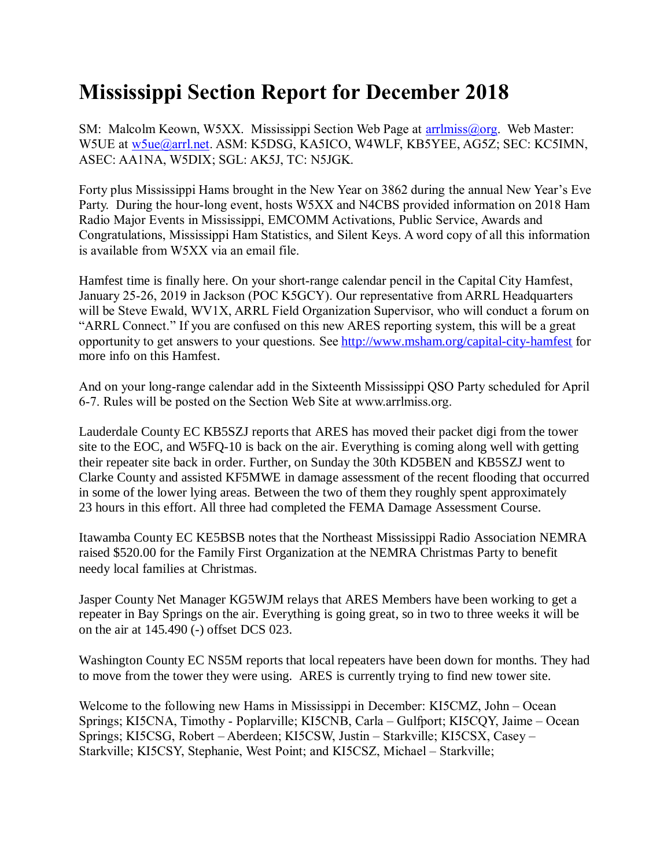## **Mississippi Section Report for December 2018**

SM: Malcolm Keown, W5XX. Mississippi Section Web Page at [arrlmiss@org.](mailto:arrlmiss@org) Web Master: W5UE at w<sub>5ue</sub>@arrl.net. ASM: K5DSG, KA5ICO, W4WLF, KB5YEE, AG5Z; SEC: KC5IMN, ASEC: AA1NA, W5DIX; SGL: AK5J, TC: N5JGK.

Forty plus Mississippi Hams brought in the New Year on 3862 during the annual New Year's Eve Party. During the hour-long event, hosts W5XX and N4CBS provided information on 2018 Ham Radio Major Events in Mississippi, EMCOMM Activations, Public Service, Awards and Congratulations, Mississippi Ham Statistics, and Silent Keys. A word copy of all this information is available from W5XX via an email file.

Hamfest time is finally here. On your short-range calendar pencil in the Capital City Hamfest, January 25-26, 2019 in Jackson (POC K5GCY). Our representative from ARRL Headquarters will be Steve Ewald, WV1X, ARRL Field Organization Supervisor, who will conduct a forum on "ARRL Connect." If you are confused on this new ARES reporting system, this will be a great opportunity to get answers to your questions. See<http://www.msham.org/capital-city-hamfest> for more info on this Hamfest.

And on your long-range calendar add in the Sixteenth Mississippi QSO Party scheduled for April 6-7. Rules will be posted on the Section Web Site at www.arrlmiss.org.

Lauderdale County EC KB5SZJ reports that ARES has moved their packet digi from the tower site to the EOC, and W5FQ-10 is back on the air. Everything is coming along well with getting their repeater site back in order. Further, on Sunday the 30th KD5BEN and KB5SZJ went to Clarke County and assisted KF5MWE in damage assessment of the recent flooding that occurred in some of the lower lying areas. Between the two of them they roughly spent approximately 23 hours in this effort. All three had completed the FEMA Damage Assessment Course.

Itawamba County EC KE5BSB notes that the Northeast Mississippi Radio Association NEMRA raised \$520.00 for the Family First Organization at the NEMRA Christmas Party to benefit needy local families at Christmas.

Jasper County Net Manager KG5WJM relays that ARES Members have been working to get a repeater in Bay Springs on the air. Everything is going great, so in two to three weeks it will be on the air at 145.490 (-) offset DCS 023.

Washington County EC NS5M reports that local repeaters have been down for months. They had to move from the tower they were using. ARES is currently trying to find new tower site.

Welcome to the following new Hams in Mississippi in December: KI5CMZ, John – Ocean Springs; KI5CNA, Timothy - Poplarville; KI5CNB, Carla – Gulfport; KI5CQY, Jaime – Ocean Springs; KI5CSG, Robert – Aberdeen; KI5CSW, Justin – Starkville; KI5CSX, Casey – Starkville; KI5CSY, Stephanie, West Point; and KI5CSZ, Michael – Starkville;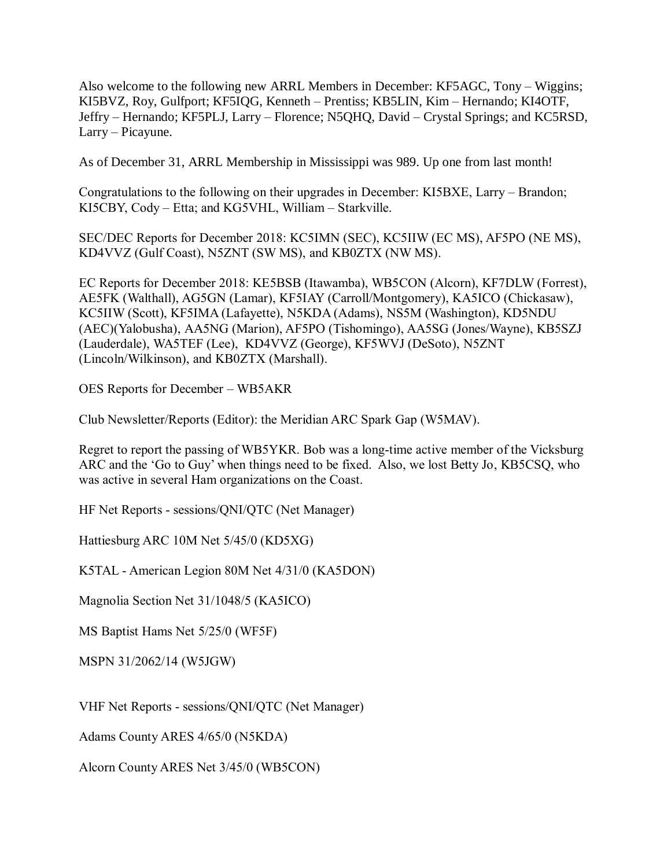Also welcome to the following new ARRL Members in December: KF5AGC, Tony – Wiggins; KI5BVZ, Roy, Gulfport; KF5IQG, Kenneth – Prentiss; KB5LIN, Kim – Hernando; KI4OTF, Jeffry – Hernando; KF5PLJ, Larry – Florence; N5QHQ, David – Crystal Springs; and KC5RSD, Larry – Picayune.

As of December 31, ARRL Membership in Mississippi was 989. Up one from last month!

Congratulations to the following on their upgrades in December: KI5BXE, Larry – Brandon; KI5CBY, Cody – Etta; and KG5VHL, William – Starkville.

SEC/DEC Reports for December 2018: KC5IMN (SEC), KC5IIW (EC MS), AF5PO (NE MS), KD4VVZ (Gulf Coast), N5ZNT (SW MS), and KB0ZTX (NW MS).

EC Reports for December 2018: KE5BSB (Itawamba), WB5CON (Alcorn), KF7DLW (Forrest), AE5FK (Walthall), AG5GN (Lamar), KF5IAY (Carroll/Montgomery), KA5ICO (Chickasaw), KC5IIW (Scott), KF5IMA (Lafayette), N5KDA (Adams), NS5M (Washington), KD5NDU (AEC)(Yalobusha), AA5NG (Marion), AF5PO (Tishomingo), AA5SG (Jones/Wayne), KB5SZJ (Lauderdale), WA5TEF (Lee), KD4VVZ (George), KF5WVJ (DeSoto), N5ZNT (Lincoln/Wilkinson), and KB0ZTX (Marshall).

OES Reports for December – WB5AKR

Club Newsletter/Reports (Editor): the Meridian ARC Spark Gap (W5MAV).

Regret to report the passing of WB5YKR. Bob was a long-time active member of the Vicksburg ARC and the 'Go to Guy' when things need to be fixed. Also, we lost Betty Jo, KB5CSQ, who was active in several Ham organizations on the Coast.

HF Net Reports - sessions/QNI/QTC (Net Manager)

Hattiesburg ARC 10M Net 5/45/0 (KD5XG)

K5TAL - American Legion 80M Net 4/31/0 (KA5DON)

Magnolia Section Net 31/1048/5 (KA5ICO)

MS Baptist Hams Net 5/25/0 (WF5F)

MSPN 31/2062/14 (W5JGW)

VHF Net Reports - sessions/QNI/QTC (Net Manager)

Adams County ARES 4/65/0 (N5KDA)

Alcorn County ARES Net 3/45/0 (WB5CON)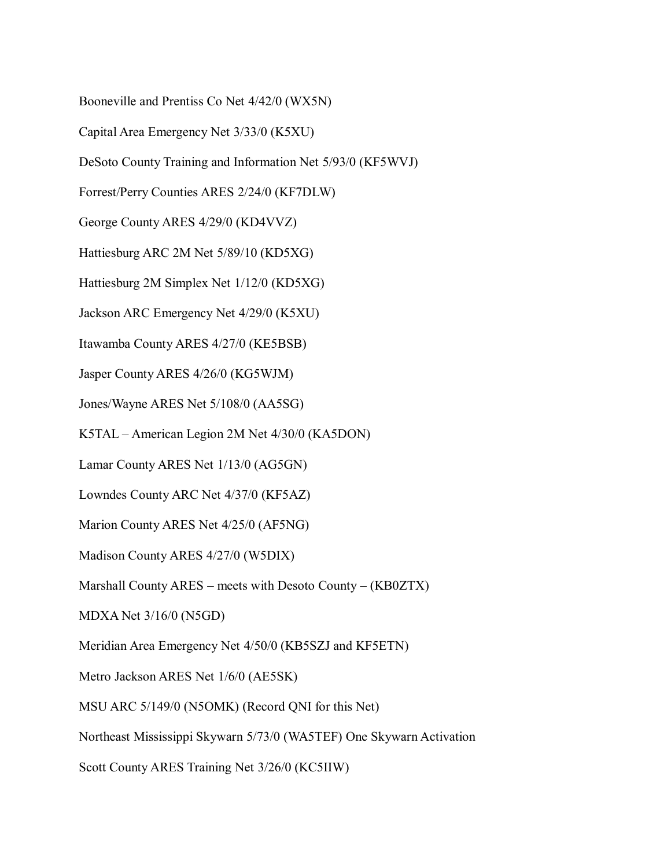Booneville and Prentiss Co Net 4/42/0 (WX5N)

Capital Area Emergency Net 3/33/0 (K5XU)

DeSoto County Training and Information Net 5/93/0 (KF5WVJ)

Forrest/Perry Counties ARES 2/24/0 (KF7DLW)

George County ARES 4/29/0 (KD4VVZ)

Hattiesburg ARC 2M Net 5/89/10 (KD5XG)

Hattiesburg 2M Simplex Net 1/12/0 (KD5XG)

Jackson ARC Emergency Net 4/29/0 (K5XU)

Itawamba County ARES 4/27/0 (KE5BSB)

Jasper County ARES 4/26/0 (KG5WJM)

Jones/Wayne ARES Net 5/108/0 (AA5SG)

K5TAL – American Legion 2M Net 4/30/0 (KA5DON)

Lamar County ARES Net 1/13/0 (AG5GN)

Lowndes County ARC Net 4/37/0 (KF5AZ)

Marion County ARES Net 4/25/0 (AF5NG)

Madison County ARES 4/27/0 (W5DIX)

Marshall County ARES – meets with Desoto County – (KB0ZTX)

MDXA Net 3/16/0 (N5GD)

Meridian Area Emergency Net 4/50/0 (KB5SZJ and KF5ETN)

Metro Jackson ARES Net 1/6/0 (AE5SK)

MSU ARC 5/149/0 (N5OMK) (Record QNI for this Net)

Northeast Mississippi Skywarn 5/73/0 (WA5TEF) One Skywarn Activation

Scott County ARES Training Net 3/26/0 (KC5IIW)